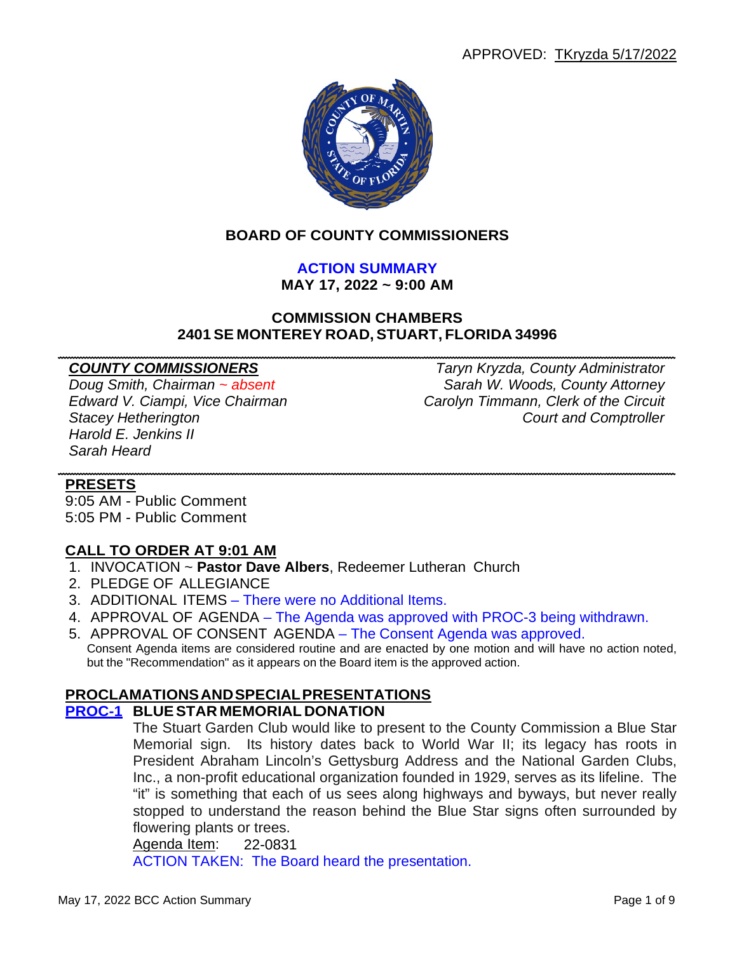

## **BOARD OF COUNTY COMMISSIONERS**

# **ACTION SUMMARY**

**MAY 17, 2022 ~ 9:00 AM**

### **COMMISSION CHAMBERS 2401 SE MONTEREY ROAD, STUART, FLORIDA 34996**

*Harold E. Jenkins II Sarah Heard*

*COUNTY COMMISSIONERS Taryn Kryzda, County Administrator Doug Smith, Chairman ~ absent Sarah W. Woods, County Attorney Edward V. Ciampi, Vice Chairman Carolyn Timmann, Clerk of the Circuit* **Court and Comptroller** 

## **PRESETS**

9:05 AM - Public Comment 5:05 PM - Public Comment

## **CALL TO ORDER AT 9:01 AM**

- 1. INVOCATION ~ **Pastor Dave Albers**, Redeemer Lutheran Church
- 2. PLEDGE OF ALLEGIANCE
- 3. ADDITIONAL ITEMS There were no Additional Items.
- 4. APPROVAL OF AGENDA The Agenda was approved with PROC-3 being withdrawn.
- 5. APPROVAL OF CONSENT AGENDA The Consent Agenda was approved. Consent Agenda items are considered routine and are enacted by one motion and will have no action noted, but the "Recommendation" as it appears on the Board item is the approved action.

## **PROCLAMATIONSANDSPECIALPRESENTATIONS**

## **PROC-1 BLUESTAR MEMORIAL DONATION**

The Stuart Garden Club would like to present to the County Commission a Blue Star Memorial sign. Its history dates back to World War II; its legacy has roots in President Abraham Lincoln's Gettysburg Address and the National Garden Clubs, Inc., a non-profit educational organization founded in 1929, serves as its lifeline. The "it" is something that each of us sees along highways and byways, but never really stopped to understand the reason behind the Blue Star signs often surrounded by flowering plants or trees.

Agenda Item: 22-0831

ACTION TAKEN: The Board heard the presentation.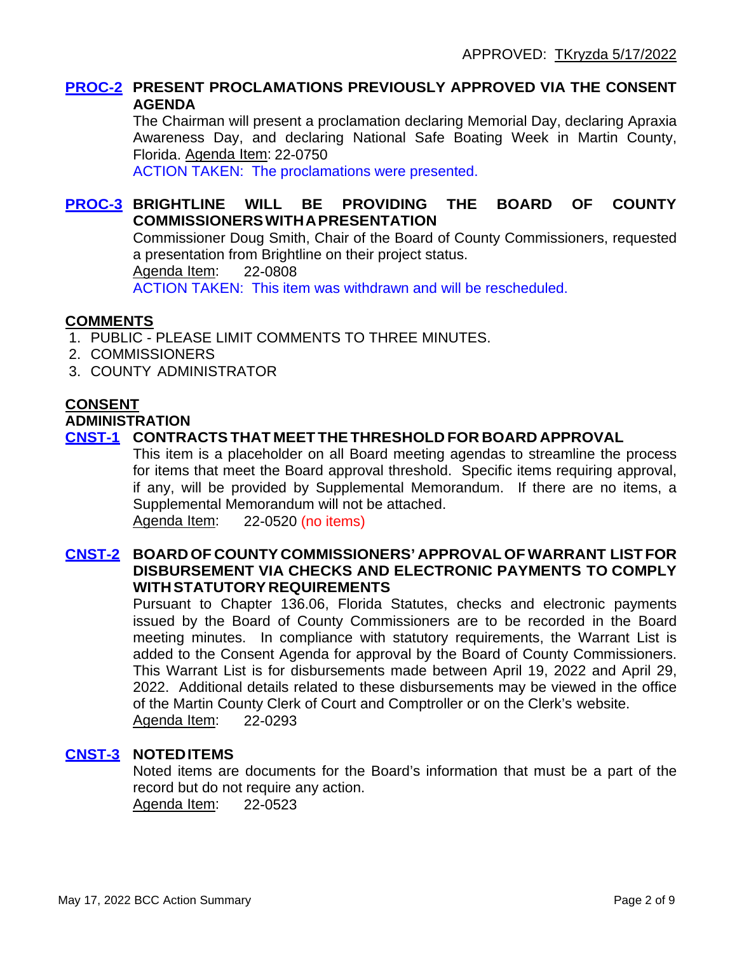## **PROC-2 PRESENT PROCLAMATIONS PREVIOUSLY APPROVED VIA THE CONSENT AGENDA**

The Chairman will present a proclamation declaring Memorial Day, declaring Apraxia Awareness Day, and declaring National Safe Boating Week in Martin County, Florida. Agenda Item: 22-0750

ACTION TAKEN: The proclamations were presented.

## **PROC-3 BRIGHTLINE WILL BE PROVIDING THE BOARD OF COUNTY COMMISSIONERSWITHAPRESENTATION**

Commissioner Doug Smith, Chair of the Board of County Commissioners, requested a presentation from Brightline on their project status.

Agenda Item: 22-0808

ACTION TAKEN: This item was withdrawn and will be rescheduled.

#### **COMMENTS**

- 1. PUBLIC PLEASE LIMIT COMMENTS TO THREE MINUTES.
- 2. COMMISSIONERS
- 3. COUNTY ADMINISTRATOR

#### **CONSENT**

#### **ADMINISTRATION**

## **CNST-1 CONTRACTSTHAT MEET THETHRESHOLD FOR BOARD APPROVAL**

This item is a placeholder on all Board meeting agendas to streamline the process for items that meet the Board approval threshold. Specific items requiring approval, if any, will be provided by Supplemental Memorandum. If there are no items, a Supplemental Memorandum will not be attached. Agenda Item: 22-0520 (no items)

## **CNST-2 BOARD OF COUNTY COMMISSIONERS' APPROVAL OF WARRANT LIST FOR DISBURSEMENT VIA CHECKS AND ELECTRONIC PAYMENTS TO COMPLY WITHSTATUTORY REQUIREMENTS**

Pursuant to Chapter 136.06, Florida Statutes, checks and electronic payments issued by the Board of County Commissioners are to be recorded in the Board meeting minutes. In compliance with statutory requirements, the Warrant List is added to the Consent Agenda for approval by the Board of County Commissioners. This Warrant List is for disbursements made between April 19, 2022 and April 29, 2022. Additional details related to these disbursements may be viewed in the office of the Martin County Clerk of Court and Comptroller or on the Clerk's website. Agenda Item: 22-0293

## **CNST-3 NOTEDITEMS**

Noted items are documents for the Board's information that must be a part of the record but do not require any action. Agenda Item: 22-0523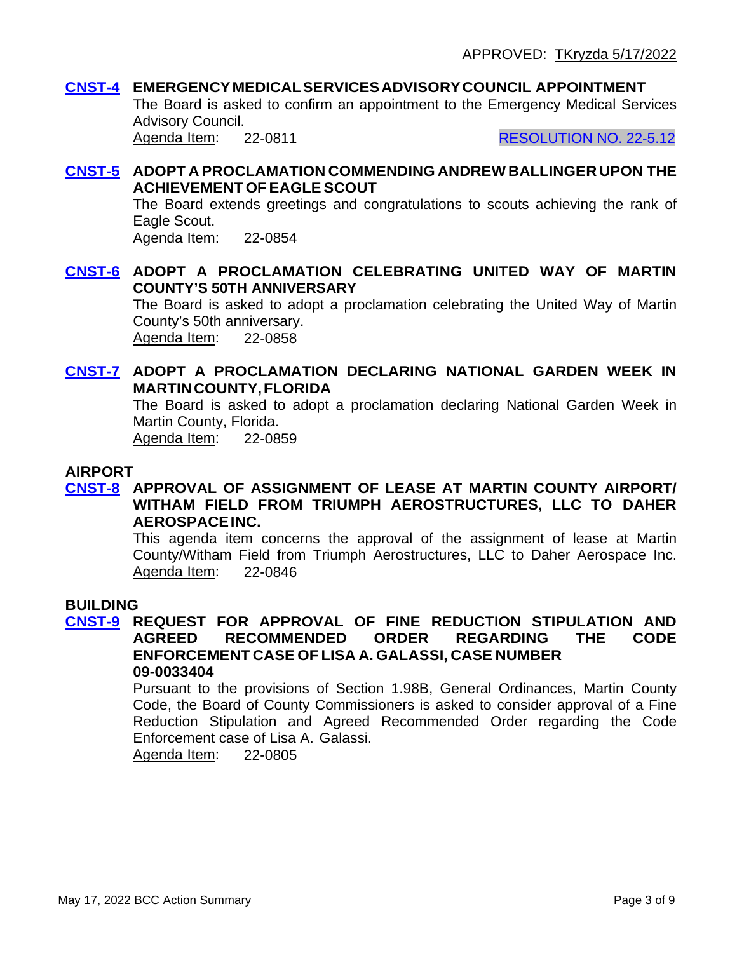## **CNST-4 EMERGENCYMEDICALSERVICESADVISORYCOUNCIL APPOINTMENT**

The Board is asked to confirm an appointment to the Emergency Medical Services Advisory Council. Agenda Item: 22-0811 RESOLUTION NO. 22-5.12

## **CNST-5 ADOPT A PROCLAMATION COMMENDING ANDREW BALLINGER UPON THE ACHIEVEMENT OFEAGLE SCOUT**

The Board extends greetings and congratulations to scouts achieving the rank of Eagle Scout.

Agenda Item: 22-0854

## **CNST-6 ADOPT A PROCLAMATION CELEBRATING UNITED WAY OF MARTIN COUNTY'S 50TH ANNIVERSARY**

The Board is asked to adopt a proclamation celebrating the United Way of Martin County's 50th anniversary. Agenda Item: 22-0858

## **CNST-7 ADOPT A PROCLAMATION DECLARING NATIONAL GARDEN WEEK IN MARTINCOUNTY,FLORIDA**

The Board is asked to adopt a proclamation declaring National Garden Week in Martin County, Florida.

Agenda Item: 22-0859

## **AIRPORT**

## **CNST-8 APPROVAL OF ASSIGNMENT OF LEASE AT MARTIN COUNTY AIRPORT/ WITHAM FIELD FROM TRIUMPH AEROSTRUCTURES, LLC TO DAHER AEROSPACEINC.**

This agenda item concerns the approval of the assignment of lease at Martin County/Witham Field from Triumph Aerostructures, LLC to Daher Aerospace Inc. Agenda Item: 22-0846

#### **BUILDING**

#### **CNST-9 REQUEST FOR APPROVAL OF FINE REDUCTION STIPULATION AND AGREED RECOMMENDED ENFORCEMENT CASE OF LISA A. GALASSI, CASE NUMBER 09-0033404**

Pursuant to the provisions of Section 1.98B, General Ordinances, Martin County Code, the Board of County Commissioners is asked to consider approval of a Fine Reduction Stipulation and Agreed Recommended Order regarding the Code Enforcement case of Lisa A. Galassi.

Agenda Item: 22-0805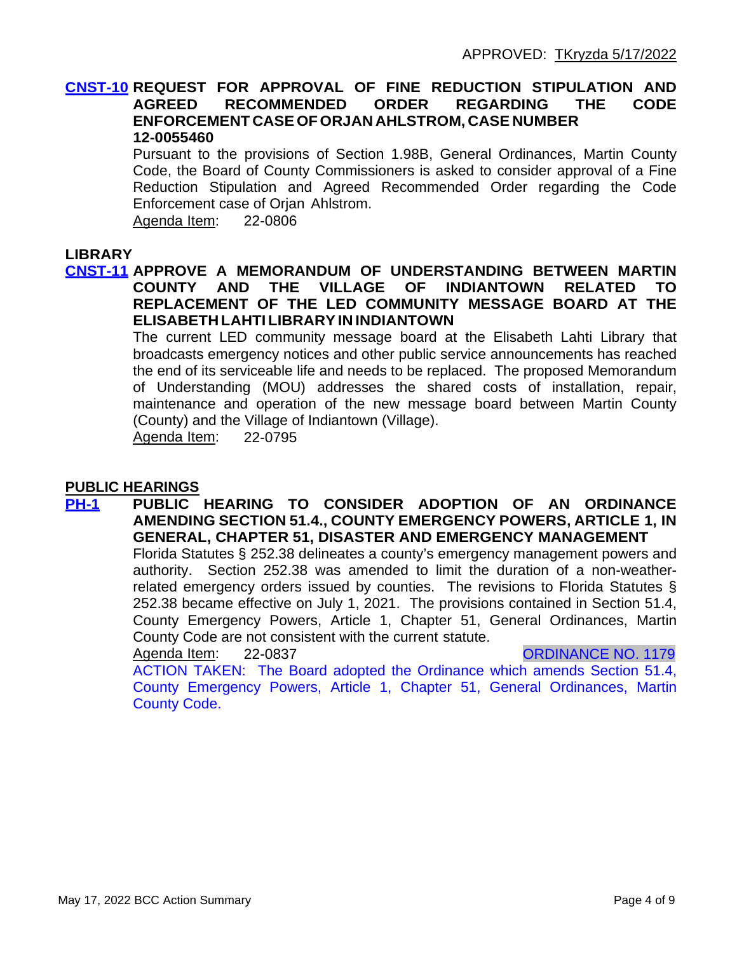#### **CNST-10 REQUEST FOR APPROVAL OF FINE REDUCTION STIPULATION AND AGREED RECOMMENDED ORDER REGARDING THE CODE ENFORCEMENT CASE OF ORJAN AHLSTROM, CASE NUMBER 12-0055460**

Pursuant to the provisions of Section 1.98B, General Ordinances, Martin County Code, the Board of County Commissioners is asked to consider approval of a Fine Reduction Stipulation and Agreed Recommended Order regarding the Code Enforcement case of Orjan Ahlstrom.

Agenda Item: 22-0806

#### **LIBRARY**

### **CNST-11 APPROVE A MEMORANDUM OF UNDERSTANDING BETWEEN MARTIN COUNTY AND THE VILLAGE OF INDIANTOWN RELATED TO REPLACEMENT OF THE LED COMMUNITY MESSAGE BOARD AT THE ELISABETH LAHTI LIBRARYIN INDIANTOWN**

The current LED community message board at the Elisabeth Lahti Library that broadcasts emergency notices and other public service announcements has reached the end of its serviceable life and needs to be replaced. The proposed Memorandum of Understanding (MOU) addresses the shared costs of installation, repair, maintenance and operation of the new message board between Martin County (County) and the Village of Indiantown (Village).

Agenda Item: 22-0795

#### **PUBLIC HEARINGS**

**PH-1 PUBLIC HEARING TO CONSIDER ADOPTION OF AN ORDINANCE AMENDING SECTION 51.4., COUNTY EMERGENCY POWERS, ARTICLE 1, IN GENERAL, CHAPTER 51, DISASTER AND EMERGENCY MANAGEMENT** Florida Statutes § 252.38 delineates a county's emergency management powers and authority. Section 252.38 was amended to limit the duration of a non-weather-

related emergency orders issued by counties. The revisions to Florida Statutes § 252.38 became effective on July 1, 2021. The provisions contained in Section 51.4, County Emergency Powers, Article 1, Chapter 51, General Ordinances, Martin County Code are not consistent with the current statute.

Agenda Item: 22-0837 CRDINANCE NO. 1179

ACTION TAKEN: The Board adopted the Ordinance which amends Section 51.4, County Emergency Powers, Article 1, Chapter 51, General Ordinances, Martin County Code.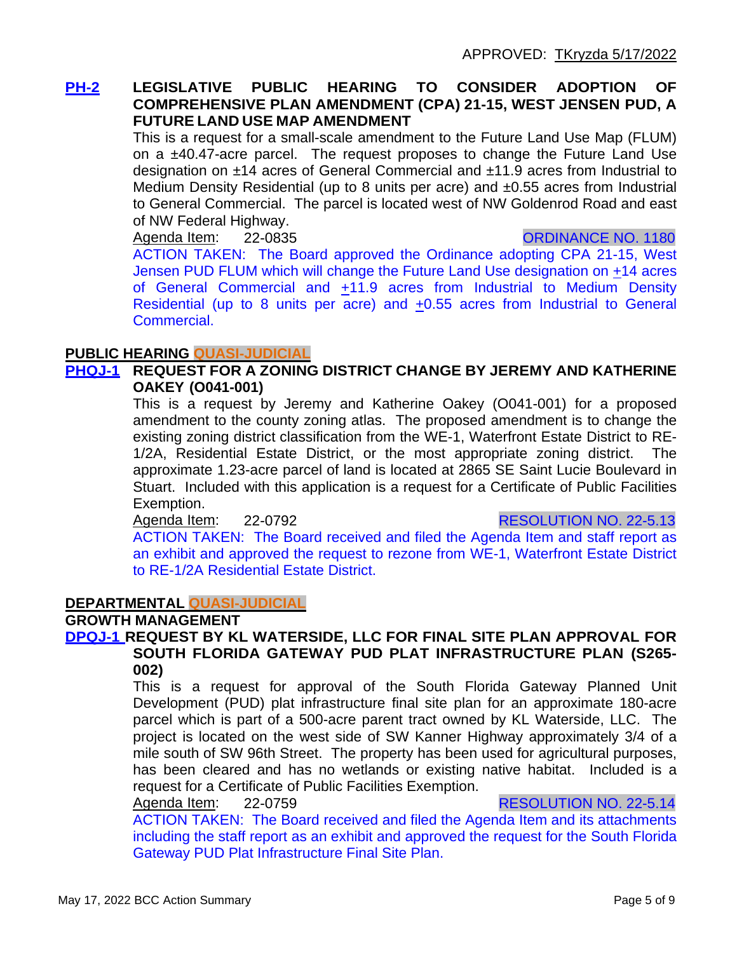## **PH-2 LEGISLATIVE PUBLIC HEARING TO CONSIDER ADOPTION OF COMPREHENSIVE PLAN AMENDMENT (CPA) 21-15, WEST JENSEN PUD, A FUTURE LAND USE MAP AMENDMENT**

This is a request for a small-scale amendment to the Future Land Use Map (FLUM) on a ±40.47-acre parcel. The request proposes to change the Future Land Use designation on ±14 acres of General Commercial and ±11.9 acres from Industrial to Medium Density Residential (up to 8 units per acre) and ±0.55 acres from Industrial to General Commercial. The parcel is located west of NW Goldenrod Road and east of NW Federal Highway.

Agenda Item: 22-0835 CRONARGE NO. 1180

ACTION TAKEN: The Board approved the Ordinance adopting CPA 21-15, West Jensen PUD FLUM which will change the Future Land Use designation on +14 acres of General Commercial and +11.9 acres from Industrial to Medium Density Residential (up to 8 units per acre) and +0.55 acres from Industrial to General Commercial.

## **PUBLIC HEARING QUASI-JUDICIAL**

## **PHQJ-1 REQUEST FOR A ZONING DISTRICT CHANGE BY JEREMY AND KATHERINE OAKEY (O041-001)**

This is a request by Jeremy and Katherine Oakey (O041-001) for a proposed amendment to the county zoning atlas. The proposed amendment is to change the existing zoning district classification from the WE-1, Waterfront Estate District to RE-1/2A, Residential Estate District, or the most appropriate zoning district. The approximate 1.23-acre parcel of land is located at 2865 SE Saint Lucie Boulevard in Stuart. Included with this application is a request for a Certificate of Public Facilities Exemption.

Agenda Item: 22-0792 RESOLUTION NO. 22-5.13

ACTION TAKEN: The Board received and filed the Agenda Item and staff report as an exhibit and approved the request to rezone from WE-1, Waterfront Estate District to RE-1/2A Residential Estate District.

## **DEPARTMENTAL QUASI-JUDICIAL**

## **GROWTH MANAGEMENT**

#### **DPQJ-1 REQUEST BY KL WATERSIDE, LLC FOR FINAL SITE PLAN APPROVAL FOR SOUTH FLORIDA GATEWAY PUD PLAT INFRASTRUCTURE PLAN (S265- 002)**

This is a request for approval of the South Florida Gateway Planned Unit Development (PUD) plat infrastructure final site plan for an approximate 180-acre parcel which is part of a 500-acre parent tract owned by KL Waterside, LLC. The project is located on the west side of SW Kanner Highway approximately 3/4 of a mile south of SW 96th Street. The property has been used for agricultural purposes, has been cleared and has no wetlands or existing native habitat. Included is a request for a Certificate of Public Facilities Exemption.

Agenda Item: 22-0759 **RESOLUTION NO. 22-5.14** 

ACTION TAKEN: The Board received and filed the Agenda Item and its attachments including the staff report as an exhibit and approved the request for the South Florida Gateway PUD Plat Infrastructure Final Site Plan.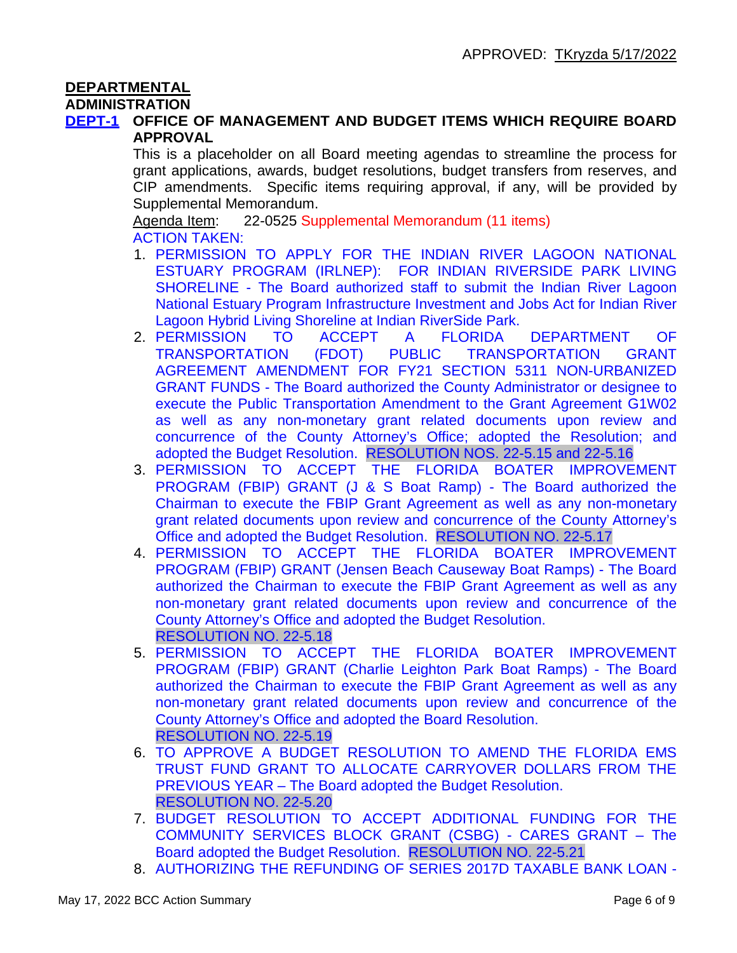# **DEPARTMENTAL**

#### **ADMINISTRATION**

## **DEPT-1 OFFICE OF MANAGEMENT AND BUDGET ITEMS WHICH REQUIRE BOARD APPROVAL**

This is a placeholder on all Board meeting agendas to streamline the process for grant applications, awards, budget resolutions, budget transfers from reserves, and CIP amendments. Specific items requiring approval, if any, will be provided by Supplemental Memorandum.

Agenda Item: 22-0525 Supplemental Memorandum (11 items) ACTION TAKEN:

- 1. PERMISSION TO APPLY FOR THE INDIAN RIVER LAGOON NATIONAL ESTUARY PROGRAM (IRLNEP): FOR INDIAN RIVERSIDE PARK LIVING SHORELINE - The Board authorized staff to submit the Indian River Lagoon National Estuary Program Infrastructure Investment and Jobs Act for Indian River Lagoon Hybrid Living Shoreline at Indian RiverSide Park.
- 2. PERMISSION TO ACCEPT A FLORIDA DEPARTMENT OF TRANSPORTATION (FDOT) PUBLIC TRANSPORTATION GRANT AGREEMENT AMENDMENT FOR FY21 SECTION 5311 NON-URBANIZED GRANT FUNDS - The Board authorized the County Administrator or designee to execute the Public Transportation Amendment to the Grant Agreement G1W02 as well as any non-monetary grant related documents upon review and concurrence of the County Attorney's Office; adopted the Resolution; and adopted the Budget Resolution. RESOLUTION NOS. 22-5.15 and 22-5.16
- 3. PERMISSION TO ACCEPT THE FLORIDA BOATER IMPROVEMENT PROGRAM (FBIP) GRANT (J & S Boat Ramp) - The Board authorized the Chairman to execute the FBIP Grant Agreement as well as any non-monetary grant related documents upon review and concurrence of the County Attorney's Office and adopted the Budget Resolution. RESOLUTION NO. 22-5.17
- 4. PERMISSION TO ACCEPT THE FLORIDA BOATER IMPROVEMENT PROGRAM (FBIP) GRANT (Jensen Beach Causeway Boat Ramps) - The Board authorized the Chairman to execute the FBIP Grant Agreement as well as any non-monetary grant related documents upon review and concurrence of the County Attorney's Office and adopted the Budget Resolution. RESOLUTION NO. 22-5.18
- 5. PERMISSION TO ACCEPT THE FLORIDA BOATER IMPROVEMENT PROGRAM (FBIP) GRANT (Charlie Leighton Park Boat Ramps) - The Board authorized the Chairman to execute the FBIP Grant Agreement as well as any non-monetary grant related documents upon review and concurrence of the County Attorney's Office and adopted the Board Resolution. RESOLUTION NO. 22-5.19
- 6. TO APPROVE A BUDGET RESOLUTION TO AMEND THE FLORIDA EMS TRUST FUND GRANT TO ALLOCATE CARRYOVER DOLLARS FROM THE PREVIOUS YEAR – The Board adopted the Budget Resolution. RESOLUTION NO. 22-5.20
- 7. BUDGET RESOLUTION TO ACCEPT ADDITIONAL FUNDING FOR THE COMMUNITY SERVICES BLOCK GRANT (CSBG) - CARES GRANT – The Board adopted the Budget Resolution. RESOLUTION NO. 22-5.21
- 8. AUTHORIZING THE REFUNDING OF SERIES 2017D TAXABLE BANK LOAN -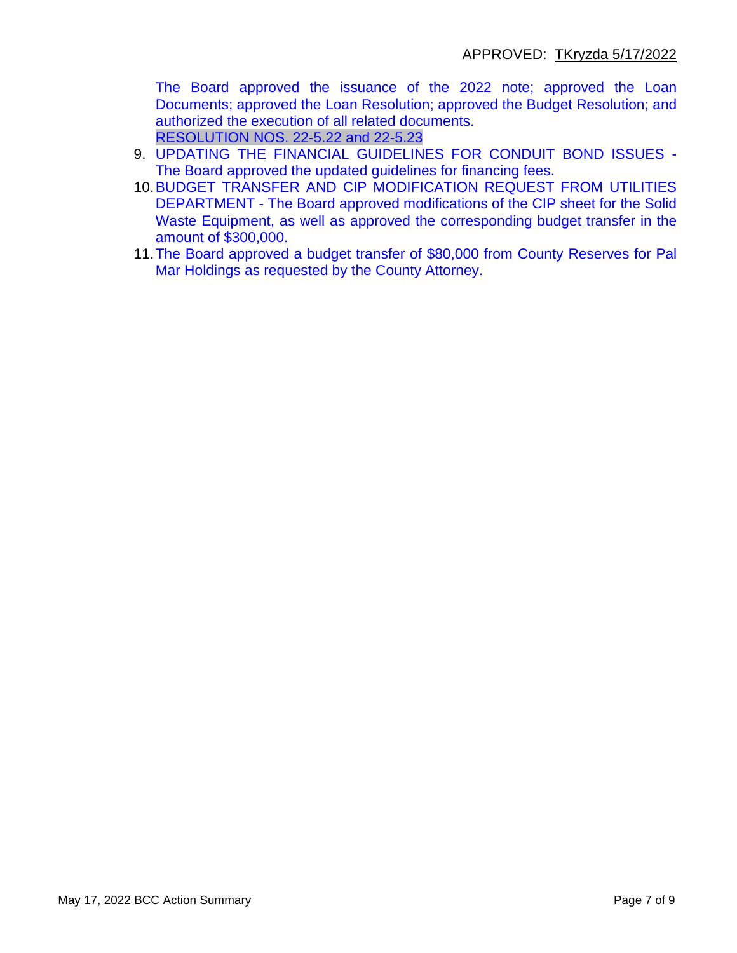The Board approved the issuance of the 2022 note; approved the Loan Documents; approved the Loan Resolution; approved the Budget Resolution; and authorized the execution of all related documents. RESOLUTION NOS. 22-5.22 and 22-5.23

- 9. UPDATING THE FINANCIAL GUIDELINES FOR CONDUIT BOND ISSUES The Board approved the updated guidelines for financing fees.
- 10.BUDGET TRANSFER AND CIP MODIFICATION REQUEST FROM UTILITIES DEPARTMENT - The Board approved modifications of the CIP sheet for the Solid Waste Equipment, as well as approved the corresponding budget transfer in the amount of \$300,000.
- 11.The Board approved a budget transfer of \$80,000 from County Reserves for Pal Mar Holdings as requested by the County Attorney.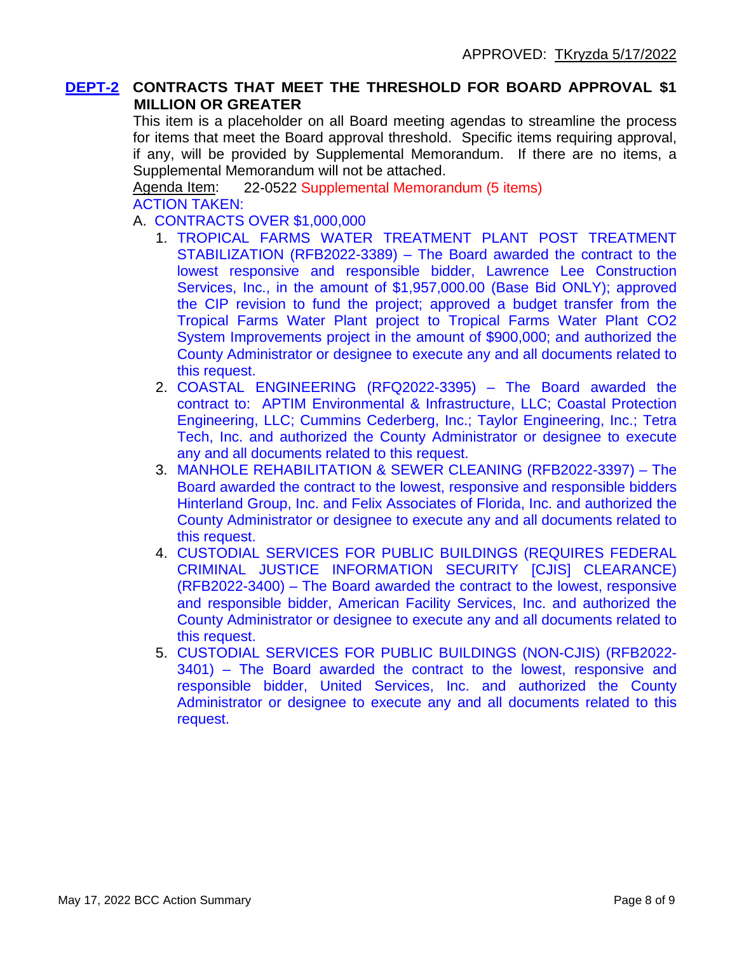## **DEPT-2 CONTRACTS THAT MEET THE THRESHOLD FOR BOARD APPROVAL \$1 MILLION OR GREATER**

This item is a placeholder on all Board meeting agendas to streamline the process for items that meet the Board approval threshold. Specific items requiring approval, if any, will be provided by Supplemental Memorandum. If there are no items, a Supplemental Memorandum will not be attached.

Agenda Item: 22-0522 Supplemental Memorandum (5 items) ACTION TAKEN:

- A. CONTRACTS OVER \$1,000,000
	- 1. TROPICAL FARMS WATER TREATMENT PLANT POST TREATMENT STABILIZATION (RFB2022-3389) – The Board awarded the contract to the lowest responsive and responsible bidder, Lawrence Lee Construction Services, Inc., in the amount of \$1,957,000.00 (Base Bid ONLY); approved the CIP revision to fund the project; approved a budget transfer from the Tropical Farms Water Plant project to Tropical Farms Water Plant CO2 System Improvements project in the amount of \$900,000; and authorized the County Administrator or designee to execute any and all documents related to this request.
	- 2. COASTAL ENGINEERING (RFQ2022-3395) The Board awarded the contract to: APTIM Environmental & Infrastructure, LLC; Coastal Protection Engineering, LLC; Cummins Cederberg, Inc.; Taylor Engineering, Inc.; Tetra Tech, Inc. and authorized the County Administrator or designee to execute any and all documents related to this request.
	- 3. MANHOLE REHABILITATION & SEWER CLEANING (RFB2022-3397) The Board awarded the contract to the lowest, responsive and responsible bidders Hinterland Group, Inc. and Felix Associates of Florida, Inc. and authorized the County Administrator or designee to execute any and all documents related to this request.
	- 4. CUSTODIAL SERVICES FOR PUBLIC BUILDINGS (REQUIRES FEDERAL CRIMINAL JUSTICE INFORMATION SECURITY [CJIS] CLEARANCE) (RFB2022-3400) – The Board awarded the contract to the lowest, responsive and responsible bidder, American Facility Services, Inc. and authorized the County Administrator or designee to execute any and all documents related to this request.
	- 5. CUSTODIAL SERVICES FOR PUBLIC BUILDINGS (NON-CJIS) (RFB2022- 3401) – The Board awarded the contract to the lowest, responsive and responsible bidder, United Services, Inc. and authorized the County Administrator or designee to execute any and all documents related to this request.